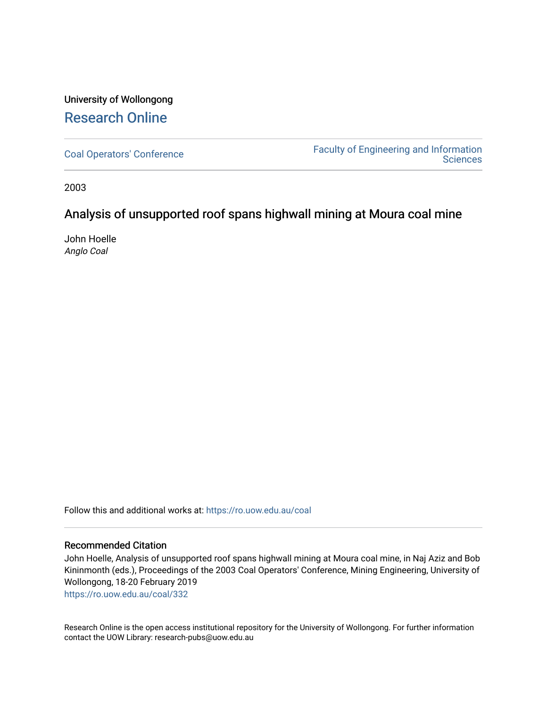## University of Wollongong [Research Online](https://ro.uow.edu.au/)

[Coal Operators' Conference](https://ro.uow.edu.au/coal) [Faculty of Engineering and Information](https://ro.uow.edu.au/eis)  **Sciences** 

2003

## Analysis of unsupported roof spans highwall mining at Moura coal mine

John Hoelle Anglo Coal

Follow this and additional works at: [https://ro.uow.edu.au/coal](https://ro.uow.edu.au/coal?utm_source=ro.uow.edu.au%2Fcoal%2F332&utm_medium=PDF&utm_campaign=PDFCoverPages) 

#### Recommended Citation

John Hoelle, Analysis of unsupported roof spans highwall mining at Moura coal mine, in Naj Aziz and Bob Kininmonth (eds.), Proceedings of the 2003 Coal Operators' Conference, Mining Engineering, University of Wollongong, 18-20 February 2019

[https://ro.uow.edu.au/coal/332](https://ro.uow.edu.au/coal/332?utm_source=ro.uow.edu.au%2Fcoal%2F332&utm_medium=PDF&utm_campaign=PDFCoverPages) 

Research Online is the open access institutional repository for the University of Wollongong. For further information contact the UOW Library: research-pubs@uow.edu.au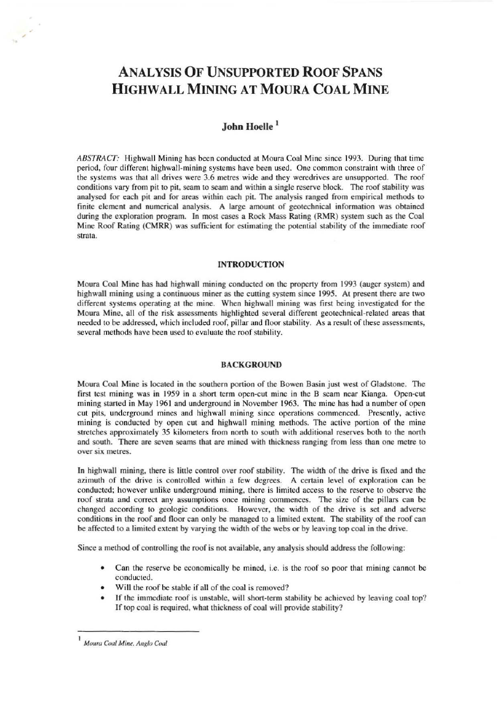# ANALYSIS OF UNSUPPORTED ROOF SPANS HIGHWALL MINING AT MOURA COAL MINE

### John Hoelle<sup>1</sup>

*ABSTRACT:* Highwall Mining has been conducted at Moura Coal Mine since 1993. During that time period, four different highwall-mining systems have been used. One common constraint with three of the systems was that all drives were 3.6 metres wide and they wcrcdrivcs are unsupported. The roof conditions vary from pit to pit, seam to seam and within a single reserve block. The roof stability was analysed for each pit and for areas within each pit. The analysis ranged from empirical methods to finite element and numerical analysis. A large amount of geotechnical information was obtained during the exploration program. In most cases a Rock Mass Rating (RMR) system such as the Coal Mine Roof Rating (CMRR) was sufficient for estimating the potential stability of the immediate roof strata.

#### INTRODUCTION

Moura Coal Mine has had highwall mining conducted on the property from 1993 (auger system) and highwall mining using a continuous miner as the cutting system since 1995. At present there are two different systems operating at the mine. When highwall mining was first being investigated for the Moura Mine. all of the risk assessments highlighted several different geotechnical-related areas that needed to be addressed, which included roof, pillar and floor stability. As a result of these assessments, several methods have been used to evaluate the roof stability.

#### BACKGROUND

Moura Coal Mine is located in the southern portion of the Bowen Basin just west of Gladstone. The first test mining was in 1959 in a short term open-cut mine in the B seam near Kianga. Open-cut mining started in May 1961 and underground in November 1963. The mine has had a number of open cut pits. underground mines and highwull mining since operations commenced. Presently, active mining is conducted by open cut and highwall mining methods. The active portion of the mine stretches approximately 35 kilometers from north to south with additional reserves both to the north and south. There are seven seams that are mined with thickness ranging from less than onc metre to over six melres.

In highwall mining, there is little control over roof stability. The width of the drive is fixed and the azimuth of the drive is controlled within a few degrees. A certain level of exploration can be conducted; however unlike underground mining, there is limited access to the reserve to observe the roof strata and correct any assumptions once mining commences. The size of the pillars can be changed according to geologic conditions. However. the width of the drive is set and adverse conditions in the roof and floor can only be managed to a limited extent. The stability of the roof can be affected to a limited extent by varying the width of the webs or by leaving top coal in the drive.

Sioce a method of controlling the roof is not available, any analysis should address the following:

- Can the reserve be economically be mined, i.e. is the roof so poor that mining cannot be conducted.
- Will the roof be stable if all of the coal is removed?
- If the immediate roof is unstable. will short-term stability be achieved by leaving coal top? If top coal is required. what thickness of coal will provide stability?

,

Moura Coal Mine, Anglo Coal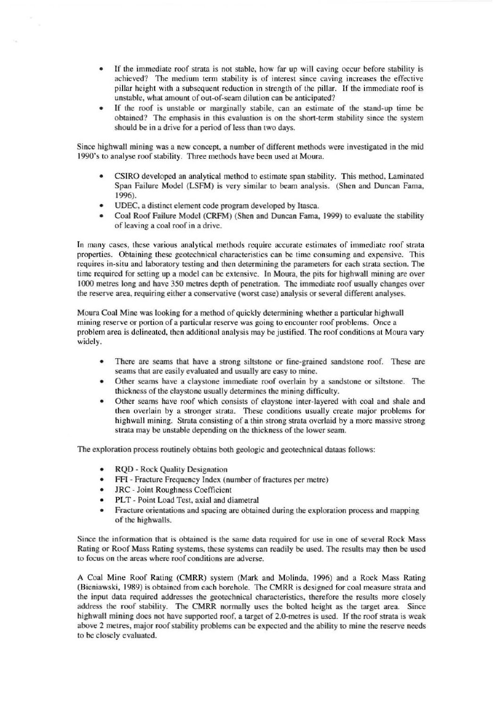- If the immediate roof strata is not stable, how far up will caving occur before stability is achieved'] The medium term stability is of interest since caving increases the effective pillar height with a subsequent reduction in strength of the pillar. If the immediale roof is unstable, what amount of out-of·seam dilution can be anticipated?
- If the roof is unstable or marginally stabile, can an estimate of the stand-up time be obtained? The emphasis in this evaluation is on the shon-term stability since the system should be in a drive for a period of less than two days.

Since highwall mining was a new concept, a number of different methods were investigated in the mid 1990's to analyse roof stability, Three methods have been used at Moura.

- CSIRO developed an analytical method to estimate span stability. This method, Laminated Span Failure Model (LSFM) is very similar to beam analysis. (Shen and Duncan Fama. 1996).
- UDEC, a distinct element code program developed by Itasca.
- Coal Roof Failure Model (CRFM) (Shen and Duncan Fama, 1999) to evaluate the stability of leaving a coal roof in a drive.

In many cases, these various analytical methods require accurate estimates of immediate roof strata properties. Obtaining these geotechnical characteristics can be timc consuming and expensive, This requires in-situ and laboratory testing and then determining the parameters for each strata section. The time required for setting up a model can be extensive. In Moura, the pits for highwall mining are over 1000 metres long and have 350 metres depth of penetration. The immediate roof usually changes over the reserve area, requiring either a conservative (worst case) analysis or several different analyses.

Moura Coal Mine was looking for a method of quickly determining whether a particular highwall mining reserve or portion of a particular reserve was going to encounter roof problems. Once a problem area is delineated, then additional analysis may be justified. The roof conditions at Moura vary widely.

- There are seams that have a strong siltstone or fine-grained sandstone roof. These are seams that are easily evaluated and usually are easy to mine.
- Other scams have a claystone immediate roof overlain by a sandstone or siltstone. The thickness of the claystone usually determines the mining difficuhy.
- Other scams have roof which consists of claystone inter.layered with coal and shale and then overlain by a stronger strata. These conditions usually create major problems for highwall mining. Strata consisting of a thin strong strata overlaid by a more massive strong strata may be unstable depending on the thickness of the lower seam.

The exploration process routinely obtains both geologic and geotechnical dataas follows:

- RQD Rock Quality Designation
- FFI Fracture Frequency Index (number of fractures per metre)
- JRC Joint Roughness Coefficient
- PLT Point Load Test. axial and diametral
- Fracture oriemations and spacing arc obtained during the exploration process and mapping of the highwalls.

Since the information that is obtained is the same data required for use in one of several Rock Mass Rating or Roof Mass Rating systems, these systems can readily be used. The results may then be used to focus on the areas where roof conditions are adverse.

A Coal Mine Roof Rating (CMRR) system (Mark and Molinda, 1996) and a Rock Mass Rating (Bieniawski, 1989) is obtained from each borehole. The CMRR is designed for coal measure strata and the input data required addresses the geotechnical characteristics, therefore the results more closely address the roof stability. The CMRR normally uses the bolted heighl as the target area. Since highwall mining does not have supported roof, a target of 2.0-metres is used. If the roof strata is weak above 2 metres, major roof stability problems can be expected and the ability to mine the reserve needs to be closely evaluated.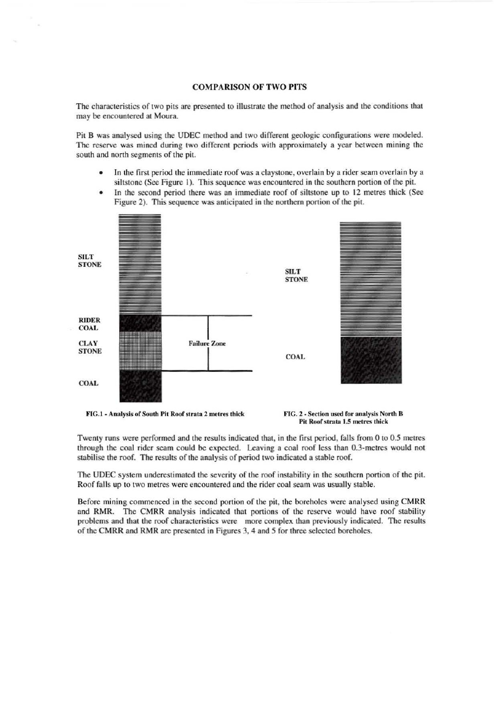#### COMPARISON OF TWO PITS

The charactcristics of two pits are presented to illustrate the method of analysis and the conditions that may be encountered at Moura.

Pit B was analysed using the UDEC method and two different geologic configurations were modeled. The reserve was mined during two different periods with approximately a year between mining the south and north segments of the pit.

- In the first period the immediate roof was a claystone, overlain by a ridcr seam overlain by a siltstone (See Figure I). This sequence was encountered in the southern portion of the pit.
- In the second period there was an immediate roof of siltstone up to 12 metres thick (See Figure 2). This sequence was anticipated in the northern portion of the pit.



FIG. 2 - Section used for analysis of South Pit Roof strata 2 metres thick FIG. 2 - Section used for analysis North B

Pit Roof strata 1.5 metres thick

Twenty runs were perfonned and the results indicatcd that, in the first period. falls from 0 to 0.5 metres through the coal rider seam could be expected. Leaving a coal roof less than 0.3-metres would not stabilise the roof. The results of the analysis of period two indicated a stable roof.

The UDEC system underestimated the severity of the roof instability in the southern portion of the pit. Roof falls up to two metres were encountered and the rider coal seam was usually stable.

Before mining commenced in the second portion of the pit, the boreholes were analysed using CMRR and RMR. The CMRR analysis indicated that portions of the reserve would have roof stability problems and thai the roof characteristics were more complex than previously indicated. The results of the CMRR and RMR are presented in Figures 3, 4 and 5 for three selected boreholes.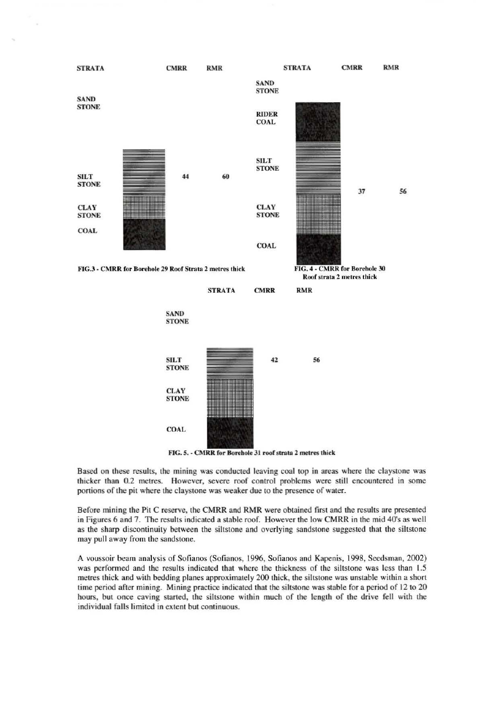

Based on these results, the mining was conducted leaving coal top in areas where the claystone was thicker than 0.2 metres. However, severe roof control problems were still encountered in some portions of the pit where the claystone was weaker due to the presence of water.

Before mining the Pit C reserve, the CMRR and RMR were oblained first and the results are presented in Figures 6 and 7. The results indicated a stable roof. However the low CMRR in the mid 40's as well as the sharp discominuity between the siltstone and overlying sandstone suggested that the siltstone may pull away from the sandstone.

A voussoir beam analysis of Sofianos (Sofianos, 1996, Sofianos and Kapenis, 1998, Seedsman, 2002) was performed and the results indicated that where the thickness of the siltstone was less than 1.5 metres thick and with bedding planes approximately 200 thick, the siltstone was unstable within a short time period after mining. Mining practice indicated that the siltstone was stable for a period of 12 to 20 hours, but once caving started, the siltstone within much of the length of the drive fell with the individual falls limited in extent but continuous.